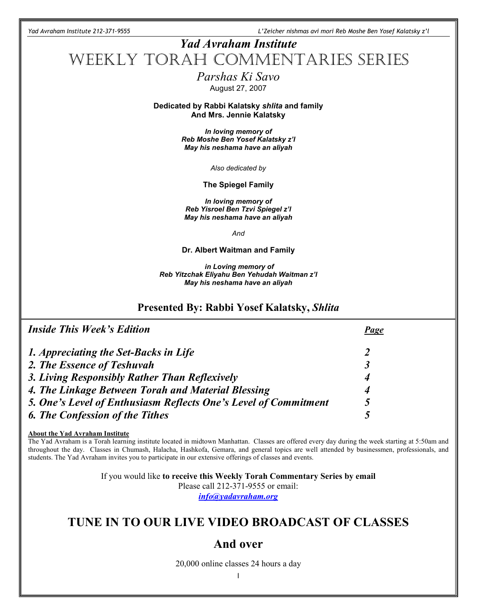Yad Avraham Institute 212-371-9555 L'Zeicher nishmas avi mori Reb Moshe Ben Yosef Kalatsky z'l

# Yad Avraham Institute WEEKLY TORAH COMMENTARIES SERIES Parshas Ki Savo August 27, 2007 Dedicated by Rabbi Kalatsky shlita and family And Mrs. Jennie Kalatsky In loving memory of Reb Moshe Ben Yosef Kalatsky z'l May his neshama have an aliyah Also dedicated by The Spiegel Family In loving memory of Reb Yisroel Ben Tzvi Spiegel z'l May his neshama have an aliyah And Dr. Albert Waitman and Family in Loving memory of Reb Yitzchak Eliyahu Ben Yehudah Waitman z'l May his neshama have an aliyah

### Presented By: Rabbi Yosef Kalatsky, Shlita

| <b>Inside This Week's Edition</b>                               | Page |
|-----------------------------------------------------------------|------|
| 1. Appreciating the Set-Backs in Life                           |      |
| 2. The Essence of Teshuvah                                      |      |
| 3. Living Responsibly Rather Than Reflexively                   | 4    |
| 4. The Linkage Between Torah and Material Blessing              | 4    |
| 5. One's Level of Enthusiasm Reflects One's Level of Commitment | 5    |
| <b>6. The Confession of the Tithes</b>                          |      |

About the Yad Avraham Institute

l

The Yad Avraham is a Torah learning institute located in midtown Manhattan. Classes are offered every day during the week starting at 5:50am and throughout the day. Classes in Chumash, Halacha, Hashkofa, Gemara, and general topics are well attended by businessmen, professionals, and students. The Yad Avraham invites you to participate in our extensive offerings of classes and events.

> If you would like to receive this Weekly Torah Commentary Series by email Please call 212-371-9555 or email: info@yadavraham.org

# TUNE IN TO OUR LIVE VIDEO BROADCAST OF CLASSES

### And over

20,000 online classes 24 hours a day

1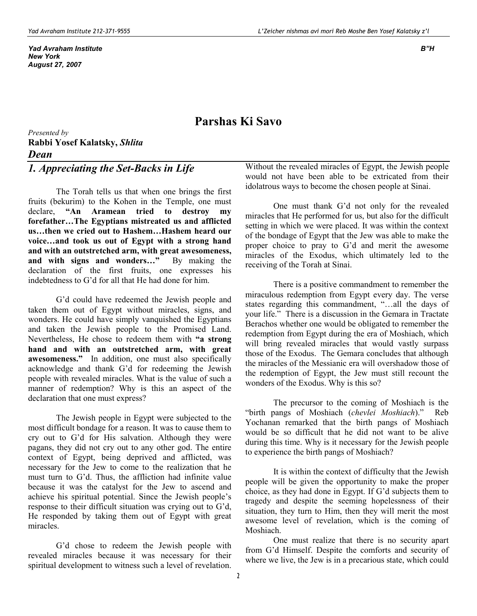Yad Avraham Institute B"H New York August 27, 2007

### Parshas Ki Savo

Presented by Rabbi Yosef Kalatsky, Shlita Dean

# 1. Appreciating the Set-Backs in Life

The Torah tells us that when one brings the first fruits (bekurim) to the Kohen in the Temple, one must declare, "An Aramean tried to destroy my forefather…The Egyptians mistreated us and afflicted us…then we cried out to Hashem…Hashem heard our voice…and took us out of Egypt with a strong hand and with an outstretched arm, with great awesomeness, and with signs and wonders…" By making the declaration of the first fruits, one expresses his indebtedness to G'd for all that He had done for him.

G'd could have redeemed the Jewish people and taken them out of Egypt without miracles, signs, and wonders. He could have simply vanquished the Egyptians and taken the Jewish people to the Promised Land. Nevertheless, He chose to redeem them with "a strong hand and with an outstretched arm, with great awesomeness." In addition, one must also specifically acknowledge and thank G'd for redeeming the Jewish people with revealed miracles. What is the value of such a manner of redemption? Why is this an aspect of the declaration that one must express?

The Jewish people in Egypt were subjected to the most difficult bondage for a reason. It was to cause them to cry out to G'd for His salvation. Although they were pagans, they did not cry out to any other god. The entire context of Egypt, being deprived and afflicted, was necessary for the Jew to come to the realization that he must turn to G'd. Thus, the affliction had infinite value because it was the catalyst for the Jew to ascend and achieve his spiritual potential. Since the Jewish people's response to their difficult situation was crying out to G'd, He responded by taking them out of Egypt with great miracles.

G'd chose to redeem the Jewish people with revealed miracles because it was necessary for their spiritual development to witness such a level of revelation.

Without the revealed miracles of Egypt, the Jewish people would not have been able to be extricated from their idolatrous ways to become the chosen people at Sinai.

One must thank G'd not only for the revealed miracles that He performed for us, but also for the difficult setting in which we were placed. It was within the context of the bondage of Egypt that the Jew was able to make the proper choice to pray to G'd and merit the awesome miracles of the Exodus, which ultimately led to the receiving of the Torah at Sinai.

There is a positive commandment to remember the miraculous redemption from Egypt every day. The verse states regarding this commandment, "…all the days of your life." There is a discussion in the Gemara in Tractate Berachos whether one would be obligated to remember the redemption from Egypt during the era of Moshiach, which will bring revealed miracles that would vastly surpass those of the Exodus. The Gemara concludes that although the miracles of the Messianic era will overshadow those of the redemption of Egypt, the Jew must still recount the wonders of the Exodus. Why is this so?

The precursor to the coming of Moshiach is the "birth pangs of Moshiach (chevlei Moshiach)." Reb Yochanan remarked that the birth pangs of Moshiach would be so difficult that he did not want to be alive during this time. Why is it necessary for the Jewish people to experience the birth pangs of Moshiach?

It is within the context of difficulty that the Jewish people will be given the opportunity to make the proper choice, as they had done in Egypt. If G'd subjects them to tragedy and despite the seeming hopelessness of their situation, they turn to Him, then they will merit the most awesome level of revelation, which is the coming of Moshiach.

One must realize that there is no security apart from G'd Himself. Despite the comforts and security of where we live, the Jew is in a precarious state, which could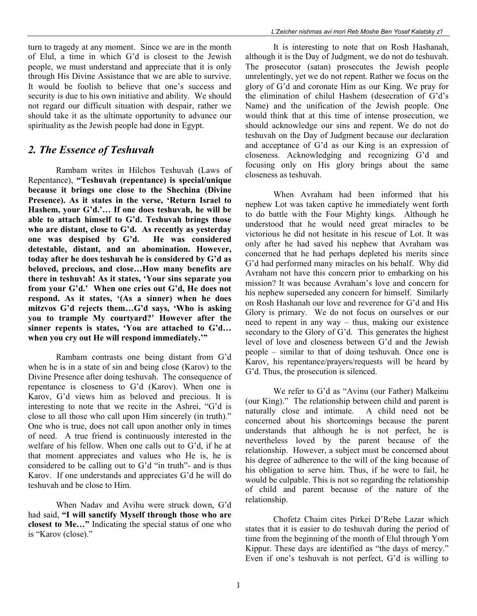turn to tragedy at any moment. Since we are in the month of Elul, a time in which G'd is closest to the Jewish people, we must understand and appreciate that it is only through His Divine Assistance that we are able to survive. It would be foolish to believe that one's success and security is due to his own initiative and ability. We should not regard our difficult situation with despair, rather we should take it as the ultimate opportunity to advance our spirituality as the Jewish people had done in Egypt.

#### 2. The Essence of Teshuvah

 Rambam writes in Hilchos Teshuvah (Laws of Repentance), "Teshuvah (repentance) is special/unique because it brings one close to the Shechina (Divine Presence). As it states in the verse, 'Return Israel to Hashem, your G'd.'… If one does teshuvah, he will be able to attach himself to G'd. Teshuvah brings those who are distant, close to G'd. As recently as yesterday one was despised by G'd. He was considered detestable, distant, and an abomination. However, today after he does teshuvah he is considered by G'd as beloved, precious, and close…How many benefits are there in teshuvah! As it states, 'Your sins separate you from your G'd.' When one cries out G'd, He does not respond. As it states, '(As a sinner) when he does mitzvos G'd rejects them…G'd says, 'Who is asking you to trample My courtyard?' However after the sinner repents is states, 'You are attached to G'd… when you cry out He will respond immediately."

Rambam contrasts one being distant from G'd when he is in a state of sin and being close (Karov) to the Divine Presence after doing teshuvah. The consequence of repentance is closeness to G'd (Karov). When one is Karov, G'd views him as beloved and precious. It is interesting to note that we recite in the Ashrei, "G'd is close to all those who call upon Him sincerely (in truth)." One who is true, does not call upon another only in times of need. A true friend is continuously interested in the welfare of his fellow. When one calls out to G'd, if he at that moment appreciates and values who He is, he is considered to be calling out to G'd "in truth"- and is thus Karov. If one understands and appreciates G'd he will do teshuvah and be close to Him.

 When Nadav and Avihu were struck down, G'd had said, "I will sanctify Myself through those who are closest to Me…" Indicating the special status of one who is "Karov (close)."

 It is interesting to note that on Rosh Hashanah, although it is the Day of Judgment, we do not do teshuvah. The prosecutor (satan) prosecutes the Jewish people unrelentingly, yet we do not repent. Rather we focus on the glory of G'd and coronate Him as our King. We pray for the elimination of chilul Hashem (desecration of G'd's Name) and the unification of the Jewish people. One would think that at this time of intense prosecution, we should acknowledge our sins and repent. We do not do teshuvah on the Day of Judgment because our declaration and acceptance of G'd as our King is an expression of closeness. Acknowledging and recognizing G'd and focusing only on His glory brings about the same closeness as teshuvah.

 When Avraham had been informed that his nephew Lot was taken captive he immediately went forth to do battle with the Four Mighty kings. Although he understood that he would need great miracles to be victorious he did not hesitate in his rescue of Lot. It was only after he had saved his nephew that Avraham was concerned that he had perhaps depleted his merits since G'd had performed many miracles on his behalf. Why did Avraham not have this concern prior to embarking on his mission? It was because Avraham's love and concern for his nephew superseded any concern for himself. Similarly on Rosh Hashanah our love and reverence for G'd and His Glory is primary. We do not focus on ourselves or our need to repent in any way – thus, making our existence secondary to the Glory of G'd. This generates the highest level of love and closeness between G'd and the Jewish people – similar to that of doing teshuvah. Once one is Karov, his repentance/prayers/requests will be heard by G'd. Thus, the prosecution is silenced.

 We refer to G'd as "Avinu (our Father) Malkeinu (our King)." The relationship between child and parent is naturally close and intimate. A child need not be concerned about his shortcomings because the parent understands that although he is not perfect, he is nevertheless loved by the parent because of the relationship. However, a subject must be concerned about his degree of adherence to the will of the king because of his obligation to serve him. Thus, if he were to fail, he would be culpable. This is not so regarding the relationship of child and parent because of the nature of the relationship.

 Chofetz Chaim cites Pirkei D'Rebe Lazar which states that it is easier to do teshuvah during the period of time from the beginning of the month of Elul through Yom Kippur. These days are identified as "the days of mercy." Even if one's teshuvah is not perfect, G'd is willing to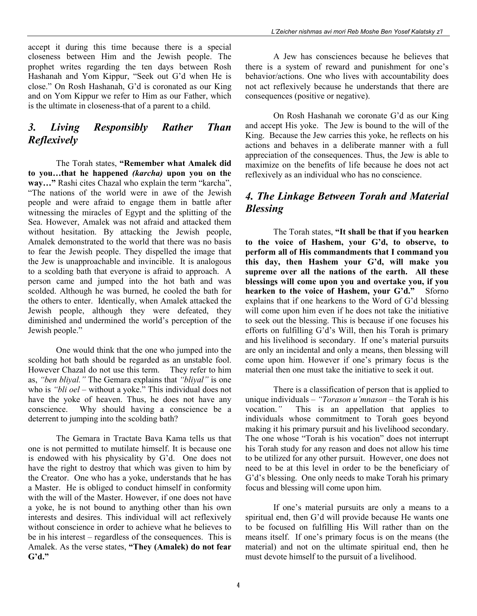accept it during this time because there is a special closeness between Him and the Jewish people. The prophet writes regarding the ten days between Rosh Hashanah and Yom Kippur, "Seek out G'd when He is close." On Rosh Hashanah, G'd is coronated as our King and on Yom Kippur we refer to Him as our Father, which is the ultimate in closeness-that of a parent to a child.

### 3. Living Responsibly Rather Than Reflexively

 The Torah states, "Remember what Amalek did to you…that he happened (karcha) upon you on the way…" Rashi cites Chazal who explain the term "karcha", "The nations of the world were in awe of the Jewish people and were afraid to engage them in battle after witnessing the miracles of Egypt and the splitting of the Sea. However, Amalek was not afraid and attacked them without hesitation. By attacking the Jewish people, Amalek demonstrated to the world that there was no basis to fear the Jewish people. They dispelled the image that the Jew is unapproachable and invincible. It is analogous to a scolding bath that everyone is afraid to approach. A person came and jumped into the hot bath and was scolded. Although he was burned, he cooled the bath for the others to enter. Identically, when Amalek attacked the Jewish people, although they were defeated, they diminished and undermined the world's perception of the Jewish people."

 One would think that the one who jumped into the scolding hot bath should be regarded as an unstable fool. However Chazal do not use this term. They refer to him as, "ben bliyal." The Gemara explains that "bliyal" is one who is "*bli oel* – without a yoke." This individual does not have the yoke of heaven. Thus, he does not have any conscience. Why should having a conscience be a deterrent to jumping into the scolding bath?

 The Gemara in Tractate Bava Kama tells us that one is not permitted to mutilate himself. It is because one is endowed with his physicality by G'd. One does not have the right to destroy that which was given to him by the Creator. One who has a yoke, understands that he has a Master. He is obliged to conduct himself in conformity with the will of the Master. However, if one does not have a yoke, he is not bound to anything other than his own interests and desires. This individual will act reflexively without conscience in order to achieve what he believes to be in his interest – regardless of the consequences. This is Amalek. As the verse states, "They (Amalek) do not fear  $G'd.$ "

 A Jew has consciences because he believes that there is a system of reward and punishment for one's behavior/actions. One who lives with accountability does not act reflexively because he understands that there are consequences (positive or negative).

On Rosh Hashanah we coronate G'd as our King and accept His yoke. The Jew is bound to the will of the King. Because the Jew carries this yoke, he reflects on his actions and behaves in a deliberate manner with a full appreciation of the consequences. Thus, the Jew is able to maximize on the benefits of life because he does not act reflexively as an individual who has no conscience.

### 4. The Linkage Between Torah and Material Blessing

 The Torah states, "It shall be that if you hearken to the voice of Hashem, your G'd, to observe, to perform all of His commandments that I command you this day, then Hashem your G'd, will make you supreme over all the nations of the earth. All these blessings will come upon you and overtake you, if you hearken to the voice of Hashem, your G'd." Sforno explains that if one hearkens to the Word of G'd blessing will come upon him even if he does not take the initiative to seek out the blessing. This is because if one focuses his efforts on fulfilling G'd's Will, then his Torah is primary and his livelihood is secondary. If one's material pursuits are only an incidental and only a means, then blessing will come upon him. However if one's primary focus is the material then one must take the initiative to seek it out.

 There is a classification of person that is applied to unique individuals – "Torason u'mnason – the Torah is his vocation." This is an appellation that applies to individuals whose commitment to Torah goes beyond making it his primary pursuit and his livelihood secondary. The one whose "Torah is his vocation" does not interrupt his Torah study for any reason and does not allow his time to be utilized for any other pursuit. However, one does not need to be at this level in order to be the beneficiary of G'd's blessing. One only needs to make Torah his primary focus and blessing will come upon him.

 If one's material pursuits are only a means to a spiritual end, then G'd will provide because He wants one to be focused on fulfilling His Will rather than on the means itself. If one's primary focus is on the means (the material) and not on the ultimate spiritual end, then he must devote himself to the pursuit of a livelihood.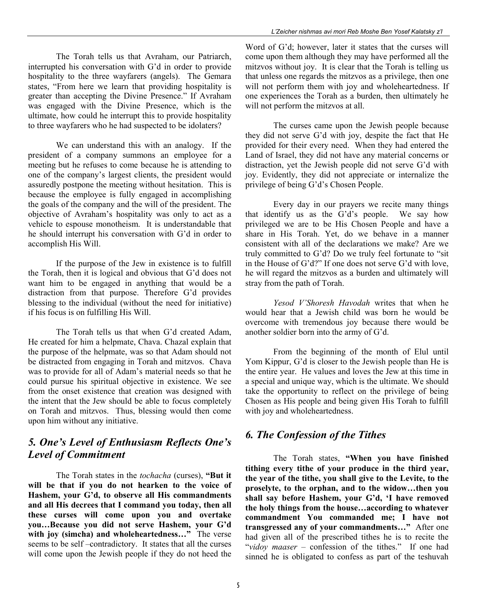The Torah tells us that Avraham, our Patriarch, interrupted his conversation with G'd in order to provide hospitality to the three wayfarers (angels). The Gemara states, "From here we learn that providing hospitality is greater than accepting the Divine Presence." If Avraham was engaged with the Divine Presence, which is the ultimate, how could he interrupt this to provide hospitality to three wayfarers who he had suspected to be idolaters?

 We can understand this with an analogy. If the president of a company summons an employee for a meeting but he refuses to come because he is attending to one of the company's largest clients, the president would assuredly postpone the meeting without hesitation. This is because the employee is fully engaged in accomplishing the goals of the company and the will of the president. The objective of Avraham's hospitality was only to act as a vehicle to espouse monotheism. It is understandable that he should interrupt his conversation with G'd in order to accomplish His Will.

 If the purpose of the Jew in existence is to fulfill the Torah, then it is logical and obvious that G'd does not want him to be engaged in anything that would be a distraction from that purpose. Therefore G'd provides blessing to the individual (without the need for initiative) if his focus is on fulfilling His Will.

 The Torah tells us that when G'd created Adam, He created for him a helpmate, Chava. Chazal explain that the purpose of the helpmate, was so that Adam should not be distracted from engaging in Torah and mitzvos. Chava was to provide for all of Adam's material needs so that he could pursue his spiritual objective in existence. We see from the onset existence that creation was designed with the intent that the Jew should be able to focus completely on Torah and mitzvos. Thus, blessing would then come upon him without any initiative.

### 5. One's Level of Enthusiasm Reflects One's Level of Commitment

The Torah states in the *tochacha* (curses), "But it will be that if you do not hearken to the voice of Hashem, your G'd, to observe all His commandments and all His decrees that I command you today, then all these curses will come upon you and overtake you…Because you did not serve Hashem, your G'd with joy (simcha) and wholeheartedness..." The verse seems to be self –contradictory. It states that all the curses will come upon the Jewish people if they do not heed the

Word of G'd; however, later it states that the curses will come upon them although they may have performed all the mitzvos without joy. It is clear that the Torah is telling us that unless one regards the mitzvos as a privilege, then one will not perform them with joy and wholeheartedness. If one experiences the Torah as a burden, then ultimately he will not perform the mitzvos at all.

The curses came upon the Jewish people because they did not serve G'd with joy, despite the fact that He provided for their every need. When they had entered the Land of Israel, they did not have any material concerns or distraction, yet the Jewish people did not serve G'd with joy. Evidently, they did not appreciate or internalize the privilege of being G'd's Chosen People.

Every day in our prayers we recite many things that identify us as the G'd's people. We say how privileged we are to be His Chosen People and have a share in His Torah. Yet, do we behave in a manner consistent with all of the declarations we make? Are we truly committed to G'd? Do we truly feel fortunate to "sit in the House of G'd?" If one does not serve G'd with love, he will regard the mitzvos as a burden and ultimately will stray from the path of Torah.

Yesod V'Shoresh Havodah writes that when he would hear that a Jewish child was born he would be overcome with tremendous joy because there would be another soldier born into the army of G'd.

From the beginning of the month of Elul until Yom Kippur, G'd is closer to the Jewish people than He is the entire year. He values and loves the Jew at this time in a special and unique way, which is the ultimate. We should take the opportunity to reflect on the privilege of being Chosen as His people and being given His Torah to fulfill with joy and wholeheartedness.

# 6. The Confession of the Tithes

 The Torah states, "When you have finished tithing every tithe of your produce in the third year, the year of the tithe, you shall give to the Levite, to the proselyte, to the orphan, and to the widow…then you shall say before Hashem, your G'd, 'I have removed the holy things from the house…according to whatever commandment You commanded me; I have not transgressed any of your commandments…" After one had given all of the prescribed tithes he is to recite the "vidoy maaser – confession of the tithes." If one had sinned he is obligated to confess as part of the teshuvah